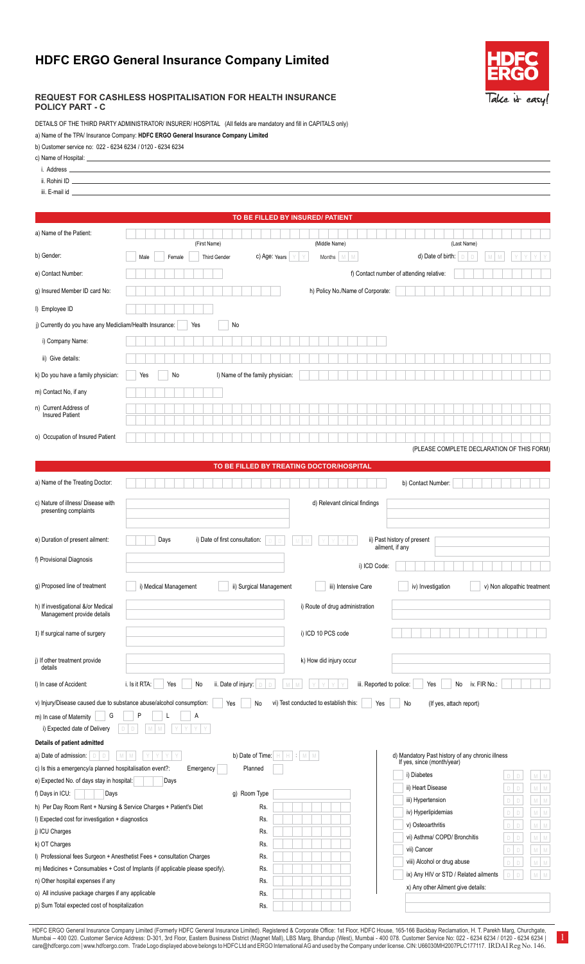## **HDFC ERGO General Insurance Company Limited**



## **REQUEST FOR CASHLESS HOSPITALISATION FOR HEALTH INSURANCE POLICY PART - C**

DETAILS OF THE THIRD PARTY ADMINISTRATOR/ INSURER/ HOSPITAL (All fields are mandatory and fill in CAPITALS only)

a) Name of the TPA/ Insurance Company: **HDFC ERGO General Insurance Company Limited**

| b) Customer service no: 022 - 6234 6234 / 0120 - 6234 6234 |
|------------------------------------------------------------|
|                                                            |

| c) Name of Hospital: ____                                                               | the control of the control of the control of the control of the control of the control of                                                                          |
|-----------------------------------------------------------------------------------------|--------------------------------------------------------------------------------------------------------------------------------------------------------------------|
| i. Address _                                                                            | <u> 1989 - Johann Stein, marwolaethau a bhann an t-Amhair an t-Amhair an t-Amhair an t-Amhair an t-Amhair an t-A</u>                                               |
|                                                                                         |                                                                                                                                                                    |
|                                                                                         |                                                                                                                                                                    |
|                                                                                         | TO BE FILLED BY INSURED/ PATIENT                                                                                                                                   |
| a) Name of the Patient:                                                                 | (First Name)<br>(Middle Name)<br>(Last Name)                                                                                                                       |
| b) Gender:                                                                              | c) Age: Years<br>d) Date of birth:<br><b>Third Gender</b><br>Months<br>M<br>Female<br>M.<br>Male                                                                   |
| e) Contact Number:                                                                      | f) Contact number of attending relative:                                                                                                                           |
| q) Insured Member ID card No:                                                           | h) Policy No./Name of Corporate:                                                                                                                                   |
| I) Employee ID                                                                          |                                                                                                                                                                    |
| j) Currently do you have any Medicliam/Health Insurance:                                | No<br>Yes                                                                                                                                                          |
| i) Company Name:                                                                        |                                                                                                                                                                    |
| ii) Give details:                                                                       |                                                                                                                                                                    |
| k) Do you have a family physician:                                                      | No<br>I) Name of the family physician:<br>Yes                                                                                                                      |
| m) Contact No, if any                                                                   |                                                                                                                                                                    |
| n) Current Address of<br><b>Insured Patient</b>                                         |                                                                                                                                                                    |
| o) Occupation of Insured Patient                                                        |                                                                                                                                                                    |
|                                                                                         | (PLEASE COMPLETE DECLARATION OF THIS FORM)                                                                                                                         |
|                                                                                         | TO BE FILLED BY TREATING DOCTOR/HOSPITAL                                                                                                                           |
| a) Name of the Treating Doctor:                                                         | b) Contact Number:                                                                                                                                                 |
| c) Nature of illness/ Disease with<br>presenting complaints                             | d) Relevant clinical findings                                                                                                                                      |
| e) Duration of present ailment:                                                         | Days<br>i) Date of first consultation:<br>ii) Past history of present<br>ailment, if any                                                                           |
| f) Provisional Diagnosis                                                                | i) ICD Code:                                                                                                                                                       |
| g) Proposed line of treatment                                                           | i) Medical Management<br>ii) Surgical Management<br>iii) Intensive Care<br>iv) Investigation<br>v) Non allopathic treatment                                        |
| h) If investigational &/or Medical<br>Management provide details                        | i) Route of drug administration                                                                                                                                    |
| I) If surgical name of surgery                                                          | i) ICD 10 PCS code                                                                                                                                                 |
| j) If other treatment provide<br>details                                                | k) How did injury occur                                                                                                                                            |
| I) In case of Accident:                                                                 | iv. FIR No.:<br>i. Is it RTA:<br>Yes<br>No<br>ii. Date of injury:<br>iii. Reported to police:<br>Yes<br>No                                                         |
|                                                                                         |                                                                                                                                                                    |
|                                                                                         | v) Injury/Disease caused due to substance abuse/alcohol consumption:<br>vi) Test conducted to establish this:<br>Yes<br>No<br>Yes<br>No<br>(If yes, attach report) |
| G<br>m) In case of Maternity<br>i) Expected date of Delivery                            | P<br>А                                                                                                                                                             |
| Details of patient admitted                                                             |                                                                                                                                                                    |
| a) Date of admission:                                                                   | d) Mandatory Past history of any chronic illness<br>b) Date of Time:<br>If yes, since (month/year)                                                                 |
| c) Is this a emergency/a planned hospitalisation event?:                                | Planned<br>Emergency<br>i) Diabetes<br>${\mathbb M}$<br>M                                                                                                          |
| e) Expected No. of days stay in hospital:<br>f) Days in ICU:<br>Days                    | Days<br>ii) Heart Disease<br>${\mathbb N}$<br>M                                                                                                                    |
| h) Per Day Room Rent + Nursing & Service Charges + Patient's Diet                       | g) Room Type<br>iii) Hypertension<br>M<br>M<br>Rs.                                                                                                                 |
| I) Expected cost for investigation + diagnostics                                        | iv) Hyperlipidemias<br>M<br>M<br>D<br>Rs.                                                                                                                          |
| j) ICU Charges                                                                          | v) Osteoarthritis<br>M<br>M<br>D<br>Rs.<br>vi) Asthma/ COPD/ Bronchitis<br>M<br>M                                                                                  |
| k) OT Charges                                                                           | Rs.<br>vii) Cancer<br>${\mathbb M}$<br>M<br>D                                                                                                                      |
|                                                                                         | I) Professional fees Surgeon + Anesthetist Fees + consultation Charges<br>Rs.<br>viii) Alcohol or drug abuse<br>M<br>M<br>D                                        |
|                                                                                         | m) Medicines + Consumables + Cost of Implants (if applicable please specify).<br>Rs.<br>ix) Any HIV or STD / Related ailments<br>M<br>${\mathbb N}$<br>$\Box$      |
| n) Other hospital expenses if any<br>o) All inclusive package charges if any applicable | Rs.<br>x) Any other Ailment give details:<br>Rs.                                                                                                                   |

HDFC ERGO General Insurance Company Limited (Formerly HDFC General Insurance Limited). Registered & Corporate Office: 1st Floor, HDFC House, 165-166 Backbay Reclamation, H. T. Parekh Marg, Churchgate, Churchgate, Churchgat